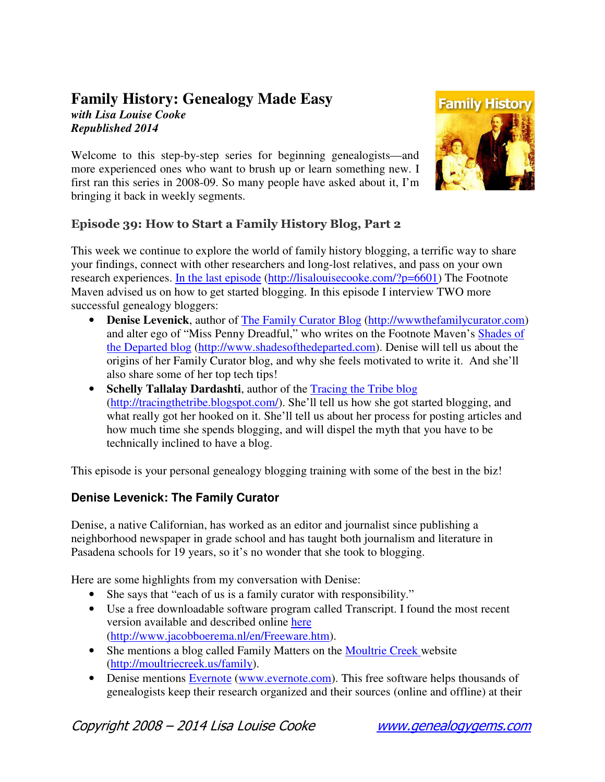## **Family History: Genealogy Made Easy**

*with Lisa Louise Cooke Republished 2014* 

Welcome to this step-by-step series for beginning genealogists—and more experienced ones who want to brush up or learn something new. I first ran this series in 2008-09. So many people have asked about it, I'm bringing it back in weekly segments.



## Episode 39: How to Start a Family History Blog, Part 2

This week we continue to explore the world of family history blogging, a terrific way to share your findings, connect with other researchers and long-lost relatives, and pass on your own research experiences. In the last episode (http://lisalouisecooke.com/?p=6601) The Footnote Maven advised us on how to get started blogging. In this episode I interview TWO more successful genealogy bloggers:

- **Denise Levenick**, author of The Family Curator Blog (http://wwwthefamilycurator.com) and alter ego of "Miss Penny Dreadful," who writes on the Footnote Maven's Shades of the Departed blog (http://www.shadesofthedeparted.com). Denise will tell us about the origins of her Family Curator blog, and why she feels motivated to write it. And she'll also share some of her top tech tips!
- **Schelly Tallalay Dardashti**, author of the Tracing the Tribe blog (http://tracingthetribe.blogspot.com/). She'll tell us how she got started blogging, and what really got her hooked on it. She'll tell us about her process for posting articles and how much time she spends blogging, and will dispel the myth that you have to be technically inclined to have a blog.

This episode is your personal genealogy blogging training with some of the best in the biz!

## **Denise Levenick: The Family Curator**

Denise, a native Californian, has worked as an editor and journalist since publishing a neighborhood newspaper in grade school and has taught both journalism and literature in Pasadena schools for 19 years, so it's no wonder that she took to blogging.

Here are some highlights from my conversation with Denise:

- She says that "each of us is a family curator with responsibility."
- Use a free downloadable software program called Transcript. I found the most recent version available and described online here (http://www.jacobboerema.nl/en/Freeware.htm).
- She mentions a blog called Family Matters on the Moultrie Creek website (http://moultriecreek.us/family).
- Denise mentions Evernote (www.evernote.com). This free software helps thousands of genealogists keep their research organized and their sources (online and offline) at their